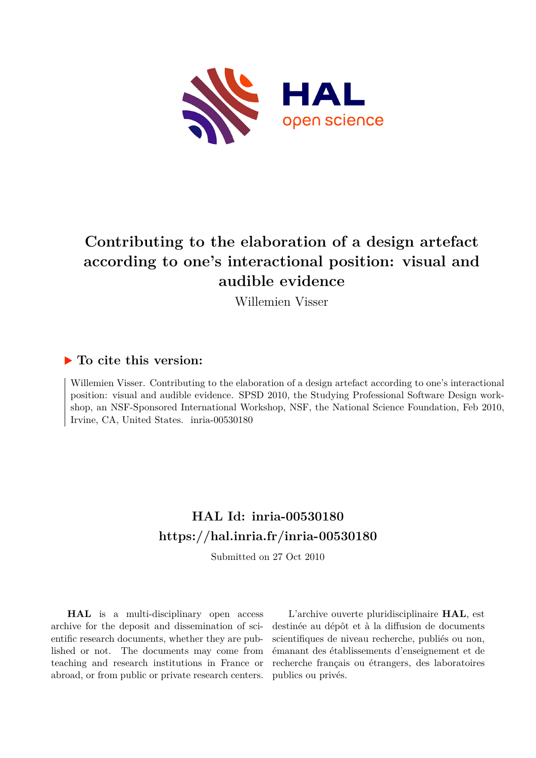

# **Contributing to the elaboration of a design artefact according to one's interactional position: visual and audible evidence**

Willemien Visser

# **To cite this version:**

Willemien Visser. Contributing to the elaboration of a design artefact according to one's interactional position: visual and audible evidence. SPSD 2010, the Studying Professional Software Design workshop, an NSF-Sponsored International Workshop, NSF, the National Science Foundation, Feb 2010, Irvine, CA, United States. inria-00530180

# **HAL Id: inria-00530180 <https://hal.inria.fr/inria-00530180>**

Submitted on 27 Oct 2010

**HAL** is a multi-disciplinary open access archive for the deposit and dissemination of scientific research documents, whether they are published or not. The documents may come from teaching and research institutions in France or abroad, or from public or private research centers.

L'archive ouverte pluridisciplinaire **HAL**, est destinée au dépôt et à la diffusion de documents scientifiques de niveau recherche, publiés ou non, émanant des établissements d'enseignement et de recherche français ou étrangers, des laboratoires publics ou privés.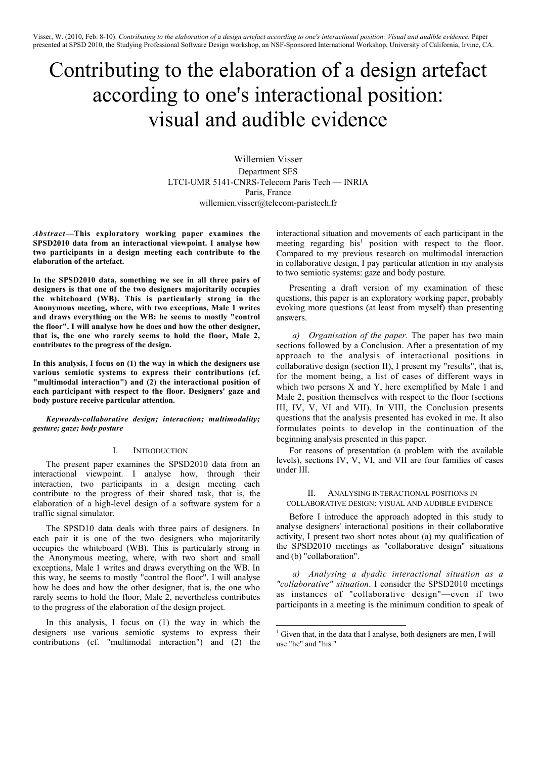# Contributing to the elaboration of a design artefact according to one's interactional position: visual and audible evidence

Willemien Visser Department SES LTCI-UMR 5141-CNRS-Telecom Paris Tech — INRIA Paris, France willemien.visser@telecom-paristech.fr

*Abstract***—This exploratory working paper examines the SPSD2010 data from an interactional viewpoint. I analyse how two participants in a design meeting each contribute to the elaboration of the artefact.**

**In the SPSD2010 data, something we see in all three pairs of designers is that one of the two designers majoritarily occupies the whiteboard (WB). This is particularly strong in the Anonymous meeting, where, with two exceptions, Male 1 writes and draws everything on the WB: he seems to mostly "control the floor". I will analyse how he does and how the other designer, that is, the one who rarely seems to hold the floor, Male 2, contributes to the progress of the design.**

**In this analysis, I focus on (1) the way in which the designers use various semiotic systems to express their contributions (cf. "multimodal interaction") and (2) the interactional position of each participant with respect to the floor. Designers' gaze and body posture receive particular attention.**

*Keywords-collaborative design; interaction; multimodality; gesture; gaze; body posture*

## I. INTRODUCTION

The present paper examines the SPSD2010 data from an interactional viewpoint. I analyse how, through their interaction, two participants in a design meeting each contribute to the progress of their shared task, that is, the elaboration of a high-level design of a software system for a traffic signal simulator.

The SPSD10 data deals with three pairs of designers. In each pair it is one of the two designers who majoritarily occupies the whiteboard (WB). This is particularly strong in the Anonymous meeting, where, with two short and small exceptions, Male 1 writes and draws everything on the WB. In this way, he seems to mostly "control the floor". I will analyse how he does and how the other designer, that is, the one who rarely seems to hold the floor, Male 2, nevertheless contributes to the progress of the elaboration of the design project.

In this analysis, I focus on (1) the way in which the designers use various semiotic systems to express their contributions (cf. "multimodal interaction") and (2) the interactional situation and movements of each participant in the meeting regarding his<sup>1</sup> position with respect to the floor. Compared to my previous research on multimodal interaction in collaborative design, I pay particular attention in my analysis to two semiotic systems: gaze and body posture.

Presenting a draft version of my examination of these questions, this paper is an exploratory working paper, probably evoking more questions (at least from myself) than presenting answers.

*a) Organisation of the paper.* The paper has two main sections followed by a Conclusion. After a presentation of my approach to the analysis of interactional positions in collaborative design (section II), I present my "results", that is, for the moment being, a list of cases of different ways in which two persons X and Y, here exemplified by Male 1 and Male 2, position themselves with respect to the floor (sections III, IV, V, VI and VII). In VIII, the Conclusion presents questions that the analysis presented has evoked in me. It also formulates points to develop in the continuation of the beginning analysis presented in this paper.

For reasons of presentation (a problem with the available levels), sections IV, V, VI, and VII are four families of cases under III.

## II. ANALYSING INTERACTIONAL POSITIONS IN COLLABORATIVE DESIGN: VISUAL AND AUDIBLE EVIDENCE

Before I introduce the approach adopted in this study to analyse designers' interactional positions in their collaborative activity, I present two short notes about (a) my qualification of the SPSD2010 meetings as "collaborative design" situations and (b) "collaboration".

*a) Analysing a dyadic interactional situation as a "collaborative" situation*. I consider the SPSD2010 meetings as instances of "collaborative design"—even if two participants in a meeting is the minimum condition to speak of

<sup>|&</sup>lt;br>|<br>|  $1$  Given that, in the data that I analyse, both designers are men, I will use "he" and "his."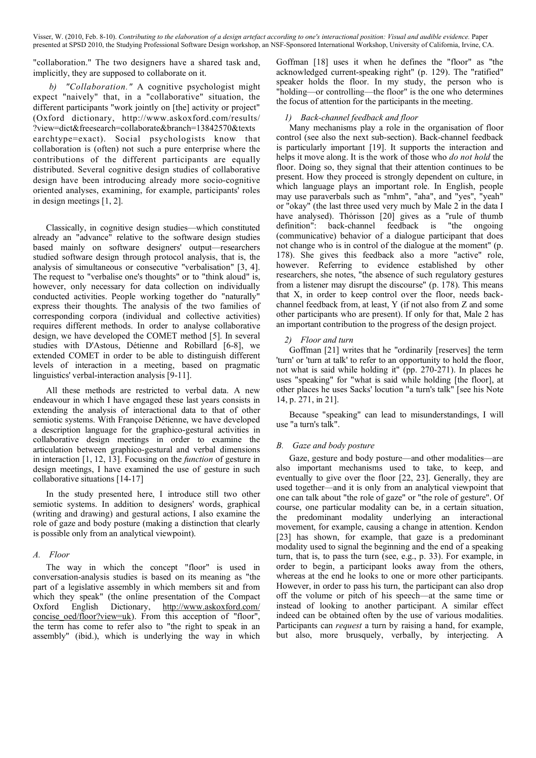"collaboration." The two designers have a shared task and, implicitly, they are supposed to collaborate on it.

*b) "Collaboration."* A cognitive psychologist might expect "naively" that, in a "collaborative" situation, the different participants "work jointly on [the] activity or project" (Oxford dictionary, http://www.askoxford.com/results/ ?view=dict&freesearch=collaborate&branch=13842570&texts earchtype=exact). Social psychologists know that collaboration is (often) not such a pure enterprise where the contributions of the different participants are equally distributed. Several cognitive design studies of collaborative design have been introducing already more socio-cognitive oriented analyses, examining, for example, participants' roles in design meetings [1, 2].

Classically, in cognitive design studies—which constituted already an "advance" relative to the software design studies based mainly on software designers' output—researchers studied software design through protocol analysis, that is, the analysis of simultaneous or consecutive "verbalisation" [3, 4]. The request to "verbalise one's thoughts" or to "think aloud" is, however, only necessary for data collection on individually conducted activities. People working together do "naturally" express their thoughts. The analysis of the two families of corresponding corpora (individual and collective activities) requires different methods. In order to analyse collaborative design, we have developed the COMET method [5]. In several studies with D'Astous, Détienne and Robillard [6-8], we extended COMET in order to be able to distinguish different levels of interaction in a meeting, based on pragmatic linguistics' verbal-interaction analysis [9-11].

All these methods are restricted to verbal data. A new endeavour in which I have engaged these last years consists in extending the analysis of interactional data to that of other semiotic systems. With Françoise Détienne, we have developed a description language for the graphico-gestural activities in collaborative design meetings in order to examine the articulation between graphico-gestural and verbal dimensions in interaction [1, 12, 13]. Focusing on the *function* of gesture in design meetings, I have examined the use of gesture in such collaborative situations [14-17]

In the study presented here, I introduce still two other semiotic systems. In addition to designers' words, graphical (writing and drawing) and gestural actions, I also examine the role of gaze and body posture (making a distinction that clearly is possible only from an analytical viewpoint).

# *A. Floor*

The way in which the concept "floor" is used in conversation-analysis studies is based on its meaning as "the part of a legislative assembly in which members sit and from which they speak" (the online presentation of the Compact Oxford English Dictionary, http://www.askoxford.com/ concise oed/floor?view=uk). From this acception of "floor", the term has come to refer also to "the right to speak in an assembly" (ibid.), which is underlying the way in which

Goffman [18] uses it when he defines the "floor" as "the acknowledged current-speaking right" (p. 129). The "ratified" speaker holds the floor. In my study, the person who is "holding—or controlling—the floor" is the one who determines the focus of attention for the participants in the meeting.

# *1) Back-channel feedback and floor*

Many mechanisms play a role in the organisation of floor control (see also the next sub-section). Back-channel feedback is particularly important [19]. It supports the interaction and helps it move along. It is the work of those who *do not hold* the floor. Doing so, they signal that their attention continues to be present. How they proceed is strongly dependent on culture, in which language plays an important role. In English, people may use paraverbals such as "mhm", "aha", and "yes", "yeah" or "okay" (the last three used very much by Male 2 in the data I have analysed). Thórisson [20] gives as a "rule of thumb definition": back-channel feedback is "the ongoing (communicative) behavior of a dialogue participant that does not change who is in control of the dialogue at the moment" (p. 178). She gives this feedback also a more "active" role, however. Referring to evidence established by other researchers, she notes, "the absence of such regulatory gestures from a listener may disrupt the discourse" (p. 178). This means that X, in order to keep control over the floor, needs backchannel feedback from, at least, Y (if not also from Z and some other participants who are present). If only for that, Male 2 has an important contribution to the progress of the design project.

# *2) Floor and turn*

Goffman [21] writes that he "ordinarily [reserves] the term 'turn' or 'turn at talk' to refer to an opportunity to hold the floor, not what is said while holding it" (pp. 270-271). In places he uses "speaking" for "what is said while holding [the floor], at other places he uses Sacks' locution "a turn's talk" [see his Note 14, p. 271, in 21].

Because "speaking" can lead to misunderstandings, I will use "a turn's talk".

# *B. Gaze and body posture*

Gaze, gesture and body posture—and other modalities—are also important mechanisms used to take, to keep, and eventually to give over the floor [22, 23]. Generally, they are used together—and it is only from an analytical viewpoint that one can talk about "the role of gaze" or "the role of gesture". Of course, one particular modality can be, in a certain situation, the predominant modality underlying an interactional movement, for example, causing a change in attention. Kendon [23] has shown, for example, that gaze is a predominant modality used to signal the beginning and the end of a speaking turn, that is, to pass the turn (see, e.g., p. 33). For example, in order to begin, a participant looks away from the others, whereas at the end he looks to one or more other participants. However, in order to pass his turn, the participant can also drop off the volume or pitch of his speech—at the same time or instead of looking to another participant. A similar effect indeed can be obtained often by the use of various modalities. Participants can *request* a turn by raising a hand, for example, but also, more brusquely, verbally, by interjecting. A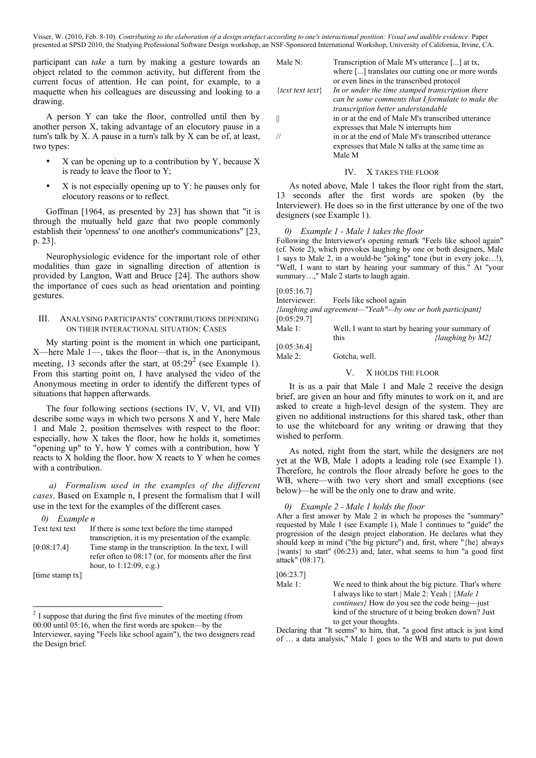participant can *take* a turn by making a gesture towards an object related to the common activity, but different from the current focus of attention. He can point, for example, to a maquette when his colleagues are discussing and looking to a drawing.

A person Y can take the floor, controlled until then by another person X, taking advantage of an elocutory pause in a turn's talk by X. A pause in a turn's talk by X can be of, at least, two types:

- $X$  can be opening up to a contribution by Y, because  $X$ is ready to leave the floor to Y;
- $X$  is not especially opening up to  $Y$ : he pauses only for elocutory reasons or to reflect.

Goffman [1964, as presented by 23] has shown that "it is through the mutually held gaze that two people commonly establish their 'openness' to one another's communications" [23, p. 23].

Neurophysiologic evidence for the important role of other modalities than gaze in signalling direction of attention is provided by Langton, Watt and Bruce [24]. The authors show the importance of cues such as head orientation and pointing gestures.

# III. ANALYSING PARTICIPANTS' CONTRIBUTIONS DEPENDING ON THEIR INTERACTIONAL SITUATION: CASES

My starting point is the moment in which one participant, X—here Male 1—, takes the floor—that is, in the Anonymous meeting, 13 seconds after the start, at  $05:29^2$  (see Example 1). From this starting point on, I have analysed the video of the Anonymous meeting in order to identify the different types of situations that happen afterwards.

The four following sections (sections IV, V, VI, and VII) describe some ways in which two persons X and Y, here Male 1 and Male 2, position themselves with respect to the floor: especially, how X takes the floor, how he holds it, sometimes "opening up" to Y, how Y comes with a contribution, how Y reacts to X holding the floor, how X reacts to Y when he comes with a contribution.

*a) Formalism used in the examples of the different cases*. Based on Example n, I present the formalism that I will use in the text for the examples of the different cases*.*

# *0) Example n*

| Text text text                                                                                        | If there is some text before the time stamped           |
|-------------------------------------------------------------------------------------------------------|---------------------------------------------------------|
|                                                                                                       | transcription, it is my presentation of the example.    |
| [0:08:17.4]                                                                                           | Time stamp in the transcription. In the text, I will    |
|                                                                                                       | refer often to $08:17$ (or, for moments after the first |
|                                                                                                       | hour, to $1:12:09$ , e.g.)                              |
| $\mathbf{r}_1 \cdot \mathbf{r}_2 = \mathbf{r}_1 \cdot \mathbf{r}_2 = \mathbf{r}_1 \cdot \mathbf{r}_2$ |                                                         |

[time stamp tx]

| Male N:          | Transcription of Male M's utterance [] at tx,      |
|------------------|----------------------------------------------------|
|                  | where [] translates our cutting one or more words  |
|                  | or even lines in the transcribed protocol          |
| {text text text} | In or under the time stamped transcription there   |
|                  | can be some comments that I formulate to make the  |
|                  | transcription better understandable                |
|                  | in or at the end of Male M's transcribed utterance |
|                  | expresses that Male N interrupts him               |
|                  | in or at the end of Male M's transcribed utterance |
|                  | expresses that Male N talks at the same time as    |
|                  | Male M                                             |
|                  |                                                    |

# IV. X TAKES THE FLOOR

As noted above, Male 1 takes the floor right from the start, 13 seconds after the first words are spoken (by the Interviewer). He does so in the first utterance by one of the two designers (see Example 1).

# *0) Example 1 - Male 1 takes the floor*

Following the Interviewer's opening remark "Feels like school again" (cf. Note 2), which provokes laughing by one or both designers, Male 1 says to Male 2, in a would-be "joking" tone (but in every joke…!), "Well, I want to start by hearing your summary of this." At "your summary...," Male 2 starts to laugh again.

# $[0.05.16.7]$

| Interviewer: | Feels like school again                                    |                                                  |
|--------------|------------------------------------------------------------|--------------------------------------------------|
|              | {laughing and agreement—"Yeah"—by one or both participant} |                                                  |
| [0:05:29.7]  |                                                            |                                                  |
| Male $1$ :   |                                                            | Well, I want to start by hearing your summary of |
|              | this                                                       | {laughing by $M2$ }                              |
| [0:05:36.4]  |                                                            |                                                  |

Male 2: Gotcha, well.

# V. X HOLDS THE FLOOR

It is as a pair that Male 1 and Male 2 receive the design brief, are given an hour and fifty minutes to work on it, and are asked to create a high-level design of the system. They are given no additional instructions for this shared task, other than to use the whiteboard for any writing or drawing that they wished to perform.

As noted, right from the start, while the designers are not yet at the WB, Male 1 adopts a leading role (see Example 1). Therefore, he controls the floor already before he goes to the WB, where—with two very short and small exceptions (see below)—he will be the only one to draw and write.

## *0) Example 2 - Male 1 holds the floor*

After a first answer by Male 2 in which he proposes the "summary" requested by Male 1 (see Example 1), Male 1 continues to "guide" the progression of the design project elaboration. He declares what they should keep in mind ("the big picture") and, first, where "{he} always {wants} to start" (06:23) and, later, what seems to him "a good first attack" (08:17).

#### [06:23.7]

Male 1: We need to think about the big picture. That's where I always like to start | Male 2: Yeah | {*Male 1 continues}* How do you see the code being—just kind of the structure of it being broken down? Just to get your thoughts.

Declaring that "It seems" to him, that, "a good first attack is just kind of … a data analysis," Male 1 goes to the WB and starts to put down

 $2\text{ I}$  suppose that during the first five minutes of the meeting (from 00:00 until 05:16, when the first words are spoken—by the Interviewer, saying "Feels like school again"), the two designers read the Design brief.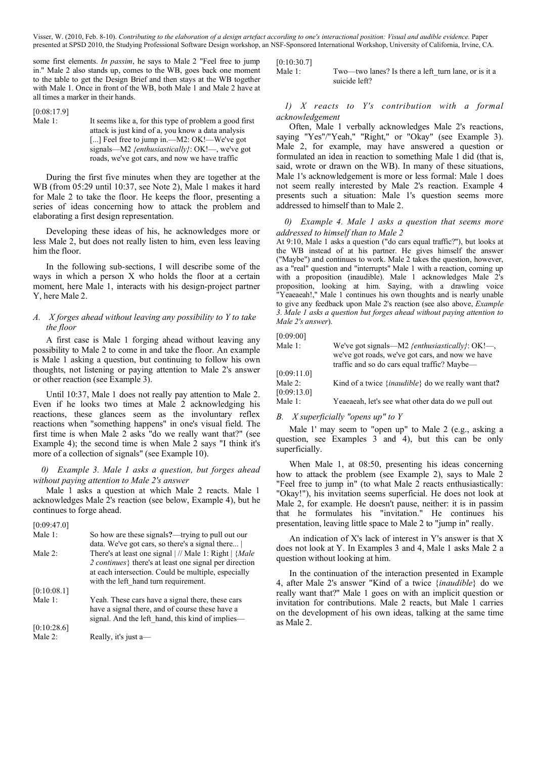some first elements. *In passim*, he says to Male 2 "Feel free to jump in." Male 2 also stands up, comes to the WB, goes back one moment to the table to get the Design Brief and then stays at the WB together with Male 1. Once in front of the WB, both Male 1 and Male 2 have at all times a marker in their hands.

[0:08:17.9]

Male 1: It seems like a, for this type of problem a good first attack is just kind of a, you know a data analysis [...] Feel free to jump in.—M2: OK!—We've got signals—M2 *{enthusiastically}*: OK!—, we've got roads, we've got cars, and now we have traffic

During the first five minutes when they are together at the WB (from 05:29 until 10:37, see Note 2), Male 1 makes it hard for Male 2 to take the floor. He keeps the floor, presenting a series of ideas concerning how to attack the problem and elaborating a first design representation.

Developing these ideas of his, he acknowledges more or less Male 2, but does not really listen to him, even less leaving him the floor.

In the following sub-sections, I will describe some of the ways in which a person X who holds the floor at a certain moment, here Male 1, interacts with his design-project partner Y, here Male 2.

# *A. X forges ahead without leaving any possibility to Y to take the floor*

A first case is Male 1 forging ahead without leaving any possibility to Male 2 to come in and take the floor. An example is Male 1 asking a question, but continuing to follow his own thoughts, not listening or paying attention to Male 2's answer or other reaction (see Example 3).

Until 10:37, Male 1 does not really pay attention to Male 2. Even if he looks two times at Male 2 acknowledging his reactions, these glances seem as the involuntary reflex reactions when "something happens" in one's visual field. The first time is when Male 2 asks "do we really want that?" (see Example 4); the second time is when Male 2 says "I think it's more of a collection of signals" (see Example 10).

# *0) Example 3. Male 1 asks a question, but forges ahead without paying attention to Male 2's answer*

Male 1 asks a question at which Male 2 reacts. Male 1 acknowledges Male 2's reaction (see below, Example 4), but he continues to forge ahead.

| [0:09:47.0] |                                                                            |
|-------------|----------------------------------------------------------------------------|
| Male 1:     | So how are these signals?—trying to pull out our                           |
|             | data. We've got cars, so there's a signal there                            |
| Male $2$ :  | There's at least one signal $\frac{1}{1}$ Male 1: Right $\frac{1}{2}$ Male |
|             | 2 <i>continues</i> { there's at least one signal per direction             |
|             | at each intersection. Could be multiple, especially                        |
|             | with the left hand turn requirement.                                       |
| [0:10:08.1] |                                                                            |
| Male 1:     | Yeah. These cars have a signal there, these cars                           |
|             | have a signal there, and of course these have a                            |
|             | signal. And the left hand, this kind of implies-                           |
| [0:10:28.6] |                                                                            |
| Male $2$ :  | Really, it's just a—                                                       |

 $[0:10:30.7]$ 

Male 1: Two—two lanes? Is there a left turn lane, or is it a suicide left?

*1) X reacts to Y's contribution with a formal acknowledgement*

Often, Male 1 verbally acknowledges Male 2's reactions, saying "Yes"/"Yeah," "Right," or "Okay" (see Example 3). Male 2, for example, may have answered a question or formulated an idea in reaction to something Male 1 did (that is, said, wrote or drawn on the WB). In many of these situations, Male 1's acknowledgement is more or less formal: Male 1 does not seem really interested by Male 2's reaction. Example 4 presents such a situation: Male 1's question seems more addressed to himself than to Male 2.

# *0) Example 4. Male 1 asks a question that seems more addressed to himself than to Male 2*

At 9:10, Male 1 asks a question ("do cars equal traffic?"), but looks at the WB instead of at his partner. He gives himself the answer ("Maybe") and continues to work. Male 2 takes the question, however, as a "real" question and "interrupts" Male 1 with a reaction, coming up with a proposition (inaudible). Male 1 acknowledges Male 2's proposition, looking at him. Saying, with a drawling voice "Yeaeaeah!," Male 1 continues his own thoughts and is nearly unable to give any feedback upon Male 2's reaction (see also above, *Example 3. Male 1 asks a question but forges ahead without paying attention to Male 2's answer*).

## [0:09:00]

| Male $1$ :  | We've got signals—M2 {enthusiastically}: OK!—,               |
|-------------|--------------------------------------------------------------|
|             | we've got roads, we've got cars, and now we have             |
|             | traffic and so do cars equal traffic? Maybe—                 |
| [0:09:11.0] |                                                              |
| Male $2$ :  | Kind of a twice { <i>inaudible</i> } do we really want that? |
| [0:09:13.0] |                                                              |
| Male $1$ :  | Yeaeaeah, let's see what other data do we pull out           |

# *B. X superficially "opens up" to Y*

Male 1' may seem to "open up" to Male 2 (e.g., asking a question, see Examples 3 and 4), but this can be only superficially.

When Male 1, at 08:50, presenting his ideas concerning how to attack the problem (see Example 2), says to Male 2 "Feel free to jump in" (to what Male 2 reacts enthusiastically: "Okay!"), his invitation seems superficial. He does not look at Male 2, for example. He doesn't pause, neither: it is in passim that he formulates his "invitation." He continues his presentation, leaving little space to Male 2 to "jump in" really.

An indication of X's lack of interest in Y's answer is that X does not look at Y. In Examples 3 and 4, Male 1 asks Male 2 a question without looking at him.

In the continuation of the interaction presented in Example 4, after Male 2's answer "Kind of a twice {*inaudible*} do we really want that?" Male 1 goes on with an implicit question or invitation for contributions. Male 2 reacts, but Male 1 carries on the development of his own ideas, talking at the same time as Male 2.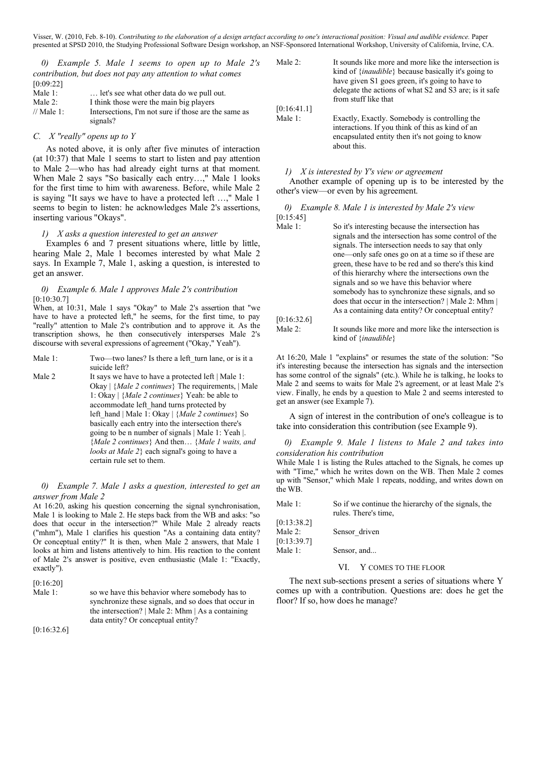*0) Example 5. Male 1 seems to open up to Male 2's contribution, but does not pay any attention to what comes*  $[0.09.22]$ 

| 10.07.44   |                                                      |
|------------|------------------------------------------------------|
| Male $1$ : | let's see what other data do we pull out.            |
| Male $2$ : | I think those were the main big players              |
| // Male 1: | Intersections. I'm not sure if those are the same as |
|            | signals?                                             |

## *C. X "really" opens up to Y*

As noted above, it is only after five minutes of interaction (at 10:37) that Male 1 seems to start to listen and pay attention to Male 2—who has had already eight turns at that moment. When Male 2 says "So basically each entry…," Male 1 looks for the first time to him with awareness. Before, while Male 2 is saying "It says we have to have a protected left …," Male 1 seems to begin to listen: he acknowledges Male 2's assertions, inserting various "Okays".

#### *1) X asks a question interested to get an answer*

Examples 6 and 7 present situations where, little by little, hearing Male 2, Male 1 becomes interested by what Male 2 says. In Example 7, Male 1, asking a question, is interested to get an answer.

# *0) Example 6. Male 1 approves Male 2's contribution* [0:10:30.7]

When, at 10:31, Male 1 says "Okay" to Male 2's assertion that "we have to have a protected left," he seems, for the first time, to pay "really" attention to Male 2's contribution and to approve it. As the transcription shows, he then consecutively intersperses Male 2's discourse with several expressions of agreement ("Okay," Yeah").

| Male 1: | Two—two lanes? Is there a left turn lane, or is it a<br>suicide left? |
|---------|-----------------------------------------------------------------------|
| Male 2  | It says we have to have a protected left   Male 1:                    |
|         | Okay $\{Male\ 2\ continues\}$ The requirements, $\Delta$ Male         |
|         | 1: Okay   { <i>Male 2 continues</i> } Yeah: be able to                |
|         | accommodate left hand turns protected by                              |
|         | left hand   Male 1: Okay   ${Male 2 continues}$ So                    |
|         | basically each entry into the intersection there's                    |
|         | going to be n number of signals   Male 1: Yeah  .                     |
|         | { <i>Male 2 continues</i> } And then { <i>Male 1 waits, and</i>       |
|         | <i>looks at Male 2</i> } each signal's going to have a                |
|         | certain rule set to them.                                             |

# *0) Example 7. Male 1 asks a question, interested to get an answer from Male 2*

At 16:20, asking his question concerning the signal synchronisation, Male 1 is looking to Male 2. He steps back from the WB and asks: "so does that occur in the intersection?" While Male 2 already reacts ("mhm"), Male 1 clarifies his question "As a containing data entity? Or conceptual entity?" It is then, when Male 2 answers, that Male 1 looks at him and listens attentively to him. His reaction to the content of Male 2's answer is positive, even enthusiastic (Male 1: "Exactly, exactly").

| [0:16:20]  |                                                      |
|------------|------------------------------------------------------|
| Male $1$ : | so we have this behavior where somebody has to       |
|            | synchronize these signals, and so does that occur in |
|            | the intersection?   Male 2: Mhm   As a containing    |
|            | data entity? Or conceptual entity?                   |

[0:16:32.6]

Male 2: It sounds like more and more like the intersection is kind of {*inaudible*} because basically it's going to have given S1 goes green, it's going to have to delegate the actions of what S2 and S3 are; is it safe from stuff like that [0:16:41.1] Male 1: Exactly, Exactly. Somebody is controlling the interactions. If you think of this as kind of an encapsulated entity then it's not going to know about this.

## *1) X is interested by Y's view or agreement*

Another example of opening up is to be interested by the other's view—or even by his agreement.

|           |  |  | 0) Example 8. Male 1 is interested by Male 2's view |  |  |
|-----------|--|--|-----------------------------------------------------|--|--|
| [0:15:45] |  |  |                                                     |  |  |

| So it's interesting because the intersection has                                          |
|-------------------------------------------------------------------------------------------|
| signals and the intersection has some control of the                                      |
| signals. The intersection needs to say that only                                          |
| one—only safe ones go on at a time so if these are                                        |
| green, these have to be red and so there's this kind                                      |
| of this hierarchy where the intersections own the                                         |
| signals and so we have this behavior where                                                |
| somebody has to synchronize these signals, and so                                         |
| does that occur in the intersection?   Male 2: Mhm                                        |
| As a containing data entity? Or conceptual entity?                                        |
|                                                                                           |
| It sounds like more and more like the intersection is<br>kind of $\{ \text{inaudible} \}$ |
|                                                                                           |

At 16:20, Male 1 "explains" or resumes the state of the solution: "So it's interesting because the intersection has signals and the intersection has some control of the signals" (etc.). While he is talking, he looks to Male 2 and seems to waits for Male 2's agreement, or at least Male 2's view. Finally, he ends by a question to Male 2 and seems interested to get an answer (see Example 7).

A sign of interest in the contribution of one's colleague is to take into consideration this contribution (see Example 9).

*0) Example 9. Male 1 listens to Male 2 and takes into consideration his contribution*

While Male 1 is listing the Rules attached to the Signals, he comes up with "Time," which he writes down on the WB. Then Male 2 comes up with "Sensor," which Male 1 repeats, nodding, and writes down on the WB.

| Male 1:     | So if we continue the hierarchy of the signals, the<br>rules. There's time, |
|-------------|-----------------------------------------------------------------------------|
| [0:13:38.2] |                                                                             |
| Male 2:     | Sensor driven                                                               |
| [0:13:39.7] |                                                                             |
| Male 1:     | Sensor, and                                                                 |

#### VI. Y COMES TO THE FLOOR

The next sub-sections present a series of situations where Y comes up with a contribution. Questions are: does he get the floor? If so, how does he manage?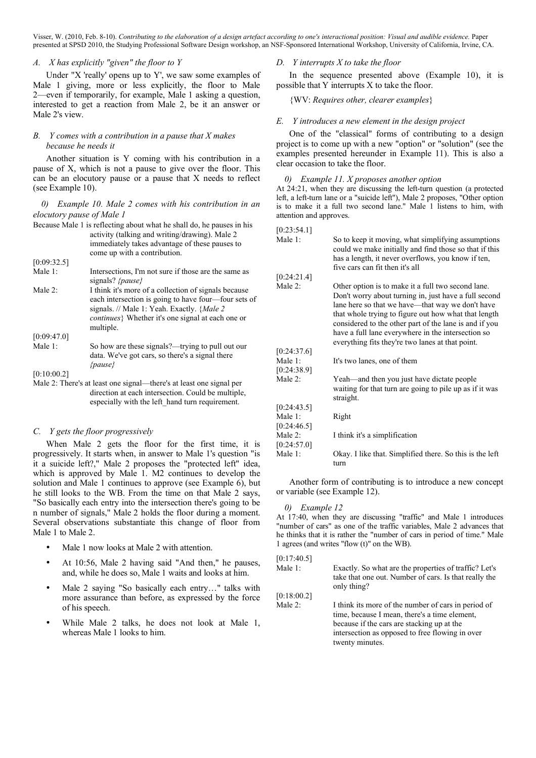$[0.22.54.1]$ 

# *A. X has explicitly "given" the floor to Y*

Under "X 'really' opens up to Y', we saw some examples of Male 1 giving, more or less explicitly, the floor to Male 2—even if temporarily, for example, Male 1 asking a question, interested to get a reaction from Male 2, be it an answer or Male 2's view.

# *B. Y comes with a contribution in a pause that X makes because he needs it*

Another situation is Y coming with his contribution in a pause of X, which is not a pause to give over the floor. This can be an elocutory pause or a pause that X needs to reflect (see Example 10).

*0) Example 10. Male 2 comes with his contribution in an elocutory pause of Male 1*

|             | Because Male 1 is reflecting about what he shall do, he pauses in his                                                                                                                                                         |
|-------------|-------------------------------------------------------------------------------------------------------------------------------------------------------------------------------------------------------------------------------|
|             | activity (talking and writing/drawing). Male 2                                                                                                                                                                                |
|             | immediately takes advantage of these pauses to                                                                                                                                                                                |
|             | come up with a contribution.                                                                                                                                                                                                  |
| [0:09:32.5] |                                                                                                                                                                                                                               |
| Male 1:     | Intersections. I'm not sure if those are the same as<br>signals? { <i>pause</i> }                                                                                                                                             |
| Male $2$ :  | I think it's more of a collection of signals because<br>each intersection is going to have four—four sets of<br>signals. // Male 1: Yeah. Exactly. { <i>Male 2</i><br><i>continues</i> Whether it's one signal at each one or |
|             | multiple.                                                                                                                                                                                                                     |
| [0:09:47.0] |                                                                                                                                                                                                                               |
| Male 1:     | So how are these signals?—trying to pull out our<br>data. We've got cars, so there's a signal there<br>${{pauge\}}$                                                                                                           |
| [0:10:00.2] |                                                                                                                                                                                                                               |
|             | Male 2: There's at least one signal—there's at least one signal per                                                                                                                                                           |
|             | direction at each intersection. Could be multiple,<br>especially with the left hand turn requirement.                                                                                                                         |

# *C. Y gets the floor progressively*

When Male 2 gets the floor for the first time, it is progressively. It starts when, in answer to Male 1's question "is it a suicide left?," Male 2 proposes the "protected left" idea, which is approved by Male 1. M2 continues to develop the solution and Male 1 continues to approve (see Example 6), but he still looks to the WB. From the time on that Male 2 says, "So basically each entry into the intersection there's going to be n number of signals," Male 2 holds the floor during a moment. Several observations substantiate this change of floor from Male 1 to Male 2.

- Male 1 now looks at Male 2 with attention.
- At 10:56, Male 2 having said "And then," he pauses, and, while he does so, Male 1 waits and looks at him.
- Male 2 saying "So basically each entry..." talks with more assurance than before, as expressed by the force of his speech.
- While Male 2 talks, he does not look at Male 1, whereas Male 1 looks to him.

# *D. Y interrupts X to take the floor*

In the sequence presented above (Example 10), it is possible that Y interrupts X to take the floor.

{WV: *Requires other, clearer examples*}

## *E. Y introduces a new element in the design project*

One of the "classical" forms of contributing to a design project is to come up with a new "option" or "solution" (see the examples presented hereunder in Example 11). This is also a clear occasion to take the floor.

#### *0) Example 11. X proposes another option*

At 24:21, when they are discussing the left-turn question (a protected left, a left-turn lane or a "suicide left"), Male 2 proposes, "Other option is to make it a full two second lane." Male 1 listens to him, with attention and approves.

| 10.23.34.1                |                                                                                                                                                                                                                                                                                                                                                                                             |
|---------------------------|---------------------------------------------------------------------------------------------------------------------------------------------------------------------------------------------------------------------------------------------------------------------------------------------------------------------------------------------------------------------------------------------|
| Male 1:                   | So to keep it moving, what simplifying assumptions<br>could we make initially and find those so that if this<br>has a length, it never overflows, you know if ten,<br>five cars can fit then it's all                                                                                                                                                                                       |
| [0:24:21.4]               |                                                                                                                                                                                                                                                                                                                                                                                             |
| Male 2:                   | Other option is to make it a full two second lane.<br>Don't worry about turning in, just have a full second<br>lane here so that we have—that way we don't have<br>that whole trying to figure out how what that length<br>considered to the other part of the lane is and if you<br>have a full lane everywhere in the intersection so<br>everything fits they're two lanes at that point. |
| [0:24:37.6]               |                                                                                                                                                                                                                                                                                                                                                                                             |
| Male 1:<br>[0:24:38.9]    | It's two lanes, one of them                                                                                                                                                                                                                                                                                                                                                                 |
| Male 2:                   | Yeah—and then you just have dictate people<br>waiting for that turn are going to pile up as if it was<br>straight.                                                                                                                                                                                                                                                                          |
| [0:24:43.5]               |                                                                                                                                                                                                                                                                                                                                                                                             |
| Male 1:<br>[0:24:46.5]    | Right                                                                                                                                                                                                                                                                                                                                                                                       |
| Male $2$ :<br>[0:24:57.0] | I think it's a simplification                                                                                                                                                                                                                                                                                                                                                               |
| Male 1:                   | Okay. I like that. Simplified there. So this is the left<br>turn                                                                                                                                                                                                                                                                                                                            |

Another form of contributing is to introduce a new concept or variable (see Example 12).

#### *0) Example 12*

At 17:40, when they are discussing "traffic" and Male 1 introduces "number of cars" as one of the traffic variables, Male 2 advances that he thinks that it is rather the "number of cars in period of time." Male 1 agrees (and writes "flow (t)" on the WB).

| [0:17:40.5] |                                                                                                                                                                                                                          |
|-------------|--------------------------------------------------------------------------------------------------------------------------------------------------------------------------------------------------------------------------|
| Male 1:     | Exactly. So what are the properties of traffic? Let's<br>take that one out. Number of cars. Is that really the<br>only thing?                                                                                            |
| [0:18:00.2] |                                                                                                                                                                                                                          |
| Male 2:     | I think its more of the number of cars in period of<br>time, because I mean, there's a time element,<br>because if the cars are stacking up at the<br>intersection as opposed to free flowing in over<br>twenty minutes. |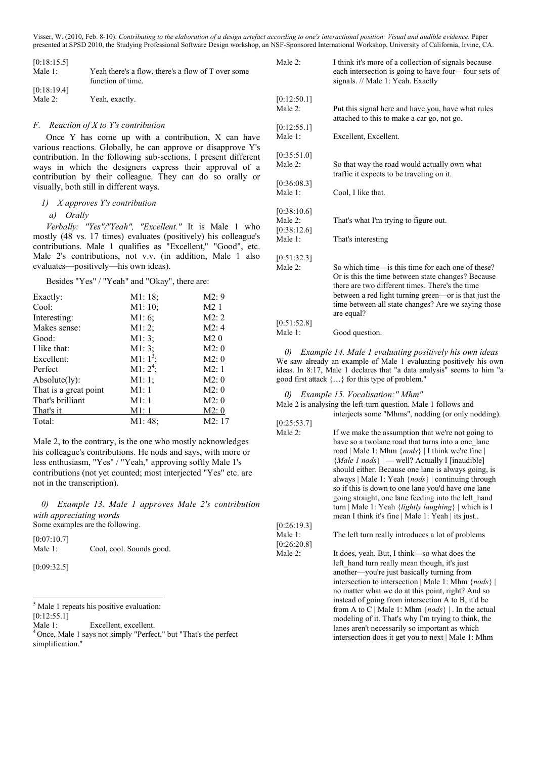| [0:18:15.5] |                                                                         | Male        |
|-------------|-------------------------------------------------------------------------|-------------|
| Male 1:     | Yeah there's a flow, there's a flow of T over some<br>function of time. |             |
| [0:18:19.4] |                                                                         |             |
| Male 2:     | Yeah, exactly.                                                          | [0:12]<br>. |

#### *F. Reaction of X to Y's contribution*

Once Y has come up with a contribution, X can have various reactions. Globally, he can approve or disapprove Y's contribution. In the following sub-sections, I present different ways in which the designers express their approval of a contribution by their colleague. They can do so orally or visually, both still in different ways.

# *1) X approves Y's contribution*

#### *a) Orally*

*Verbally: "Yes"/"Yeah", "Excellent."* It is Male 1 who mostly (48 vs. 17 times) evaluates (positively) his colleague's contributions. Male 1 qualifies as "Excellent," "Good", etc. Male 2's contributions, not v.v. (in addition, Male 1 also evaluates—positively—his own ideas).

Besides "Yes" / "Yeah" and "Okay", there are:

| Exactly:              | M1:18;      | M2:9             |
|-----------------------|-------------|------------------|
| Cool:                 | M1:10;      | M <sub>2</sub> 1 |
| Interesting:          | M1:6;       | M2:2             |
| Makes sense:          | M1:2;       | M2:4             |
| Good:                 | M1:3;       | M2 <sub>0</sub>  |
| I like that:          | M1:3;       | M2:0             |
| Excellent:            | M1: $1^3$ ; | M2:0             |
| Perfect               | M1: $2^4$ ; | M2:1             |
| Absolute(ly):         | M1:1;       | M2:0             |
| That is a great point | M1:1        | M2:0             |
| That's brilliant      | M1:1        | M2:0             |
| That's it             | M1:1        | M2:0             |
| Total:                | M1:48;      | M2:17            |

Male 2, to the contrary, is the one who mostly acknowledges his colleague's contributions. He nods and says, with more or less enthusiasm, "Yes" / "Yeah," approving softly Male 1's contributions (not yet counted; most interjected "Yes" etc. are not in the transcription).

*0) Example 13. Male 1 approves Male 2's contribution with appreciating words* Some examples are the following.

[0:07:10.7] Male 1: Cool, cool. Sounds good.

[0:09:32.5]

 3  $3$  Male 1 repeats his positive evaluation:

[0:12:55.1]

| Male $2$ :                | I think it's more of a collection of signals because<br>each intersection is going to have four—four sets of<br>signals. // Male 1: Yeah. Exactly                                                                                                                                        |
|---------------------------|------------------------------------------------------------------------------------------------------------------------------------------------------------------------------------------------------------------------------------------------------------------------------------------|
| [0:12:50.1]               |                                                                                                                                                                                                                                                                                          |
| Male $2^{\cdot}$          | Put this signal here and have you, have what rules<br>attached to this to make a car go, not go.                                                                                                                                                                                         |
| [0:12:55.1]               |                                                                                                                                                                                                                                                                                          |
| Male 1:                   | Excellent, Excellent.                                                                                                                                                                                                                                                                    |
| [0:35:51.0]               |                                                                                                                                                                                                                                                                                          |
| Male $2$                  | So that way the road would actually own what<br>traffic it expects to be traveling on it.                                                                                                                                                                                                |
| [0:36:08.3]               |                                                                                                                                                                                                                                                                                          |
| Male $1$ <sup>.</sup>     | Cool, I like that.                                                                                                                                                                                                                                                                       |
| [0:38:10.6]               |                                                                                                                                                                                                                                                                                          |
| Male $2$ :<br>[0:38:12.6] | That's what I'm trying to figure out.                                                                                                                                                                                                                                                    |
| Male 1:                   | That's interesting                                                                                                                                                                                                                                                                       |
| [0:51:32.3]               |                                                                                                                                                                                                                                                                                          |
| Male $2$                  | So which time—is this time for each one of these?<br>Or is this the time between state changes? Because<br>there are two different times. There's the time<br>between a red light turning green—or is that just the<br>time between all state changes? Are we saying those<br>are equal? |
| [0:51:52.8]               |                                                                                                                                                                                                                                                                                          |
| Male 1:                   | Good question.                                                                                                                                                                                                                                                                           |

*0) Example 14. Male 1 evaluating positively his own ideas* We saw already an example of Male 1 evaluating positively his own ideas. In 8:17, Male 1 declares that "a data analysis" seems to him "a good first attack {…} for this type of problem."

#### *0) Example 15. Vocalisation:" Mhm"*

Male 2 is analysing the left-turn question. Male 1 follows and interjects some "Mhms", nodding (or only nodding).

- $[0:25:53.7]$
- Male 2: If we make the assumption that we're not going to have so a twolane road that turns into a one\_lane road | Male 1: Mhm {*nods*} | I think we're fine | {*Male 1 nods*} | — well? Actually I [inaudible] should either. Because one lane is always going, is always | Male 1: Yeah {*nods*} | continuing through so if this is down to one lane you'd have one lane going straight, one lane feeding into the left\_hand turn | Male 1: Yeah {*lightly laughing*} | which is I mean I think it's fine | Male 1: Yeah | its just.. [0:26:19.3]

#### Male 1: The left turn really introduces a lot of problems [0:26:20.8]

Male 2: It does, yeah. But, I think—so what does the left hand turn really mean though, it's just another—you're just basically turning from intersection to intersection | Male 1: Mhm {*nods*} | no matter what we do at this point, right? And so instead of going from intersection A to B, it'd be from A to C | Male 1: Mhm {*nods*} | . In the actual modeling of it. That's why I'm trying to think, the lanes aren't necessarily so important as which intersection does it get you to next | Male 1: Mhm

Male 1: Excellent, excellent.<br><sup>4</sup> Once, Male 1 says not simply "Perfect," but "That's the perfect simplification."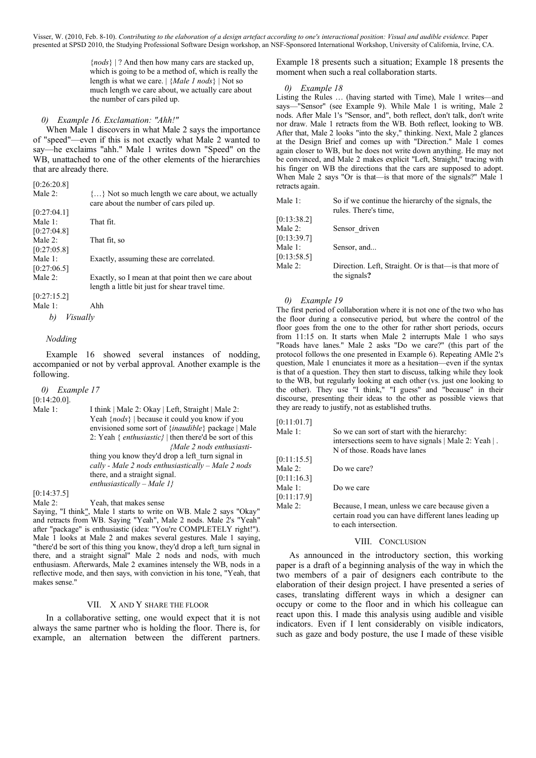> {*nods*} | ? And then how many cars are stacked up, which is going to be a method of, which is really the length is what we care. | {*Male 1 nods*} | Not so much length we care about, we actually care about the number of cars piled up.

> > Not so much length we care about, we actually

# *0) Example 16. Exclamation: "Ahh!"*

When Male 1 discovers in what Male 2 says the importance of "speed"—even if this is not exactly what Male 2 wanted to say—he exclaims "ahh." Male 1 writes down "Speed" on the WB, unattached to one of the other elements of the hierarchies that are already there.

| [0:26:20.8] |         |
|-------------|---------|
| Male 2:     | $\{ \}$ |
|             | care    |
|             |         |

|                | care about the number of cars piled up.             |
|----------------|-----------------------------------------------------|
| [0:27:04.1]    |                                                     |
| Male $1$ :     | That fit.                                           |
| [0:27:04.8]    |                                                     |
| Male $2$ :     | That fit, so                                        |
| [0:27:05.8]    |                                                     |
| Male 1:        | Exactly, assuming these are correlated.             |
| [0:27:06.5]    |                                                     |
| Male 2:        | Exactly, so I mean at that point then we care about |
|                | length a little bit just for shear travel time.     |
| [0:27:15.2]    |                                                     |
| Male 1:        | Ahh                                                 |
| Visually<br>b) |                                                     |

# *Nodding*

Example 16 showed several instances of nodding, accompanied or not by verbal approval. Another example is the following.

*0) Example 17* [0:14:20.0]. Male 1: I think | Male 2: Okay | Left, Straight | Male 2: Yeah {*nods*} | because it could you know if you envisioned some sort of {*inaudible*} package | Male 2: Yeah { *enthusiastic}* | then there'd be sort of this *{Male 2 nods enthusiasti*thing you know they'd drop a left turn signal in *cally - Male 2 nods enthusiastically – Male 2 nods* there, and a straight signal. *enthusiastically – Male 1}*

[0:14:37.5]

Male 2: Yeah, that makes sense

Saying, "I think", Male 1 starts to write on WB. Male 2 says "Okay" and retracts from WB. Saying "Yeah", Male 2 nods. Male 2's "Yeah" after "package" is enthusiastic (idea: "You're COMPLETELY right!"). Male 1 looks at Male 2 and makes several gestures. Male 1 saying, "there'd be sort of this thing you know, they'd drop a left turn signal in there, and a straight signal" Male 2 nods and nods, with much enthusiasm. Afterwards, Male 2 examines intensely the WB, nods in a reflective mode, and then says, with conviction in his tone, "Yeah, that makes sense."

# VII. X AND Y SHARE THE FLOOR

In a collaborative setting, one would expect that it is not always the same partner who is holding the floor. There is, for example, an alternation between the different partners.

Example 18 presents such a situation; Example 18 presents the moment when such a real collaboration starts.

#### *0) Example 18*

Listing the Rules … (having started with Time), Male 1 writes—and says—"Sensor" (see Example 9). While Male 1 is writing, Male 2 nods. After Male 1's "Sensor, and", both reflect, don't talk, don't write nor draw. Male 1 retracts from the WB. Both reflect, looking to WB. After that, Male 2 looks "into the sky," thinking. Next, Male 2 glances at the Design Brief and comes up with "Direction." Male 1 comes again closer to WB, but he does not write down anything. He may not be convinced, and Male 2 makes explicit "Left, Straight," tracing with his finger on WB the directions that the cars are supposed to adopt. When Male 2 says "Or is that—is that more of the signals?" Male 1 retracts again.

| Male 1:                | So if we continue the hierarchy of the signals, the<br>rules. There's time, |
|------------------------|-----------------------------------------------------------------------------|
| [0:13:38.2]            |                                                                             |
| Male 2:<br>[0:13:39.7] | Sensor driven                                                               |
| Male 1:<br>[0:13:58.5] | Sensor, and                                                                 |
| Male 2:                | Direction. Left, Straight. Or is that—is that more of<br>the signals?       |

# *0) Example 19*

The first period of collaboration where it is not one of the two who has the floor during a consecutive period, but where the control of the floor goes from the one to the other for rather short periods, occurs from 11:15 on. It starts when Male 2 interrupts Male 1 who says "Roads have lanes." Male 2 asks "Do we care?" (this part of the protocol follows the one presented in Example 6). Repeating AMle 2's question, Male 1 enunciates it more as a hesitation—even if the syntax is that of a question. They then start to discuss, talking while they look to the WB, but regularly looking at each other (vs. just one looking to the other). They use "I think," "I guess" and "because" in their discourse, presenting their ideas to the other as possible views that they are ready to justify, not as established truths.

| [0:11:01.7] |                                                                                                                                  |
|-------------|----------------------------------------------------------------------------------------------------------------------------------|
| Male 1:     | So we can sort of start with the hierarchy:<br>intersections seem to have signals   Male 2: Yeah  .                              |
|             | N of those. Roads have lanes                                                                                                     |
| [0:11:15.5] |                                                                                                                                  |
| Male $2$ :  | Do we care?                                                                                                                      |
| [0:11:16.3] |                                                                                                                                  |
| Male 1:     | Do we care                                                                                                                       |
| [0:11:17.9] |                                                                                                                                  |
| Male $2$ :  | Because, I mean, unless we care because given a<br>certain road you can have different lanes leading up<br>to each intersection. |
|             |                                                                                                                                  |

#### VIII. CONCLUSION

As announced in the introductory section, this working paper is a draft of a beginning analysis of the way in which the two members of a pair of designers each contribute to the elaboration of their design project. I have presented a series of cases, translating different ways in which a designer can occupy or come to the floor and in which his colleague can react upon this. I made this analysis using audible and visible indicators. Even if I lent considerably on visible indicators, such as gaze and body posture, the use I made of these visible